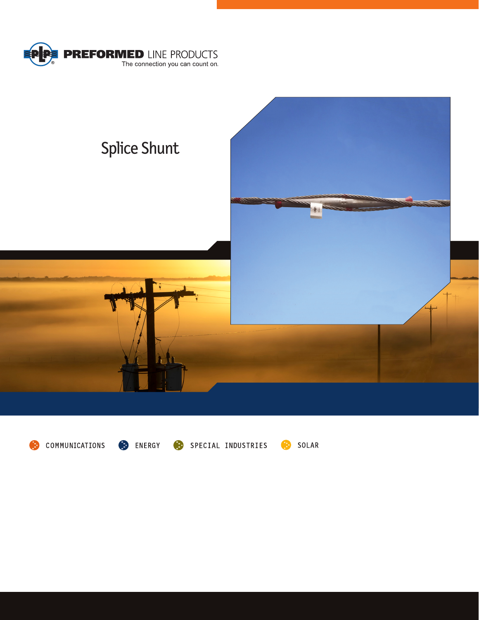





ENERGY

SPECIAL INDUSTRIES

SOLAR